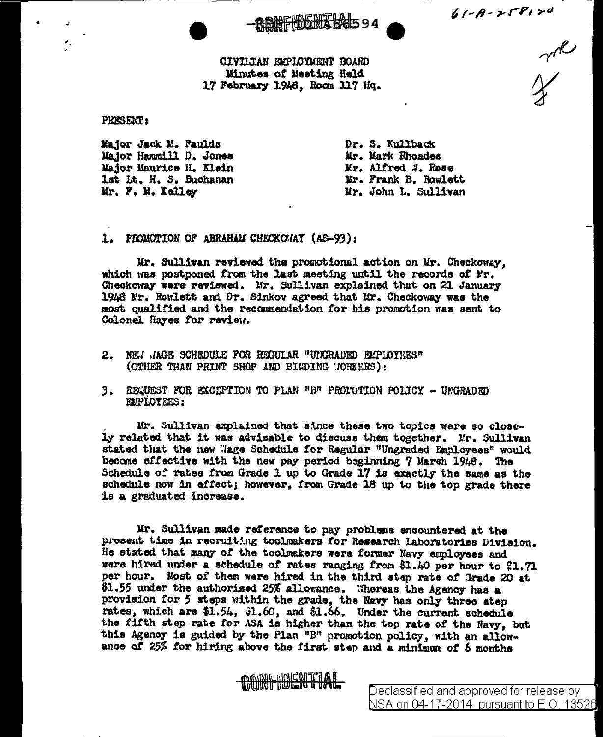**RONFIDENTIAL594** 

 $61 - 8 - 258120$ mixed

CIVILTAN EMPIOYMENT BOARD Minutes of Meeting Held 17 February 1948, Room 117 Hq.

**PRESENT:** 

×.

Major Jack M. Faulds Major Hammill D. Jones Major Maurice H. Klein lst Lt. H. S. Buchanan Mr. F. M. Kelley

Dr. S. Kullback Mr. Mark Rhoades Mr. Alfred #. Rose Mr. Frank B. Rowlett Mr. John L. Sullivan

1. PROMOTION OF ABRAHAM CHECKC/AY (AS-93):

Mr. Sullivan reviewed the promotional action on Mr. Checkoway, which was postponed from the last meeting until the records of Fr. Checkoway were reviewed. Mr. Sullivan explained that on 21 January 1948 Mr. Rowlett and Dr. Sinkov agreed that Mr. Checkoway was the most qualified and the recommendation for his promotion was sent to Colonel Hayes for review.

- 2. NEI JAGE SCHEDULE FOR REGULAR "UNCRADED ELPLOYEES" (OTHER THAN PRINT SHOP AND BINDING MORKERS):
- 3. REQUEST FOR EXCEPTION TO PLAN "B" PROLUTION POLICY UNGRADED **EMPIOYEES:**

Mr. Sullivan explained that since these two topics were so closely related that it was advisable to discuss them together. Mr. Sullivan stated that the new Wage Schedule for Regular "Ungraded Employees" would become effective with the new pay period beginning 7 March 1948. The Schedule of rates from Grade 1 up to Grade 17 is exactly the same as the schedule now in effect; however, from Grade 18 up to the top grade there is a graduated increase.

Mr. Sullivan made reference to pay problems encountered at the present time in recruiting toolmakers for Research Laboratories Division. He stated that many of the toolmakers were former Navy employees and were hired under a schedule of rates ranging from \$1.40 per hour to \$1.71 per hour. Most of them were hired in the third step rate of Grade 20 at \$1.55 under the authorized 25% allowance. Whereas the Agency has a provision for 5 steps within the grade, the Navy has only three step rates, which are \$1.54, 31.60, and \$1.66. Under the current schedule the fifth step rate for ASA is higher than the top rate of the Navy, but this Agency is guided by the Plan "B" promotion policy, with an allowance of 25% for hiring above the first step and a minimum of 6 months

CONFIDENTIAL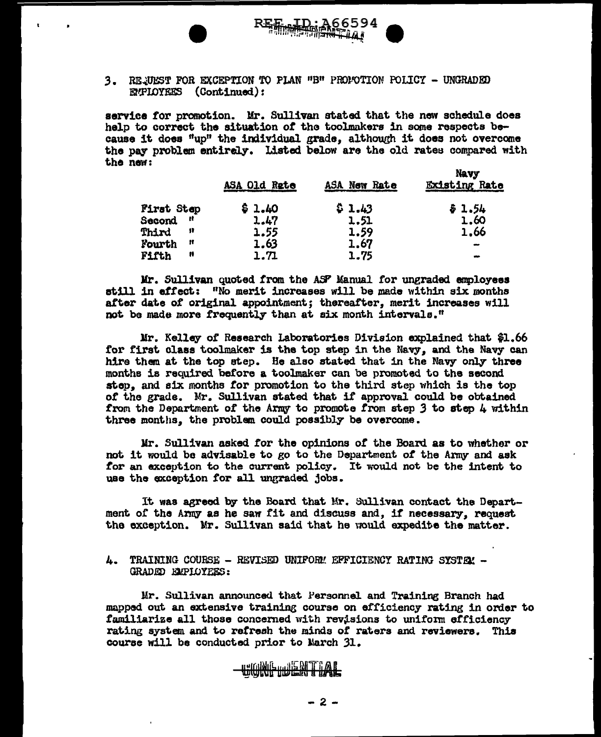

service for promotion. Mr. Sullivan stated that the new schedule does help to correct the situation of the toolmakers in some respects because it does "up" the individual grade, although it does not overcome the pay problem entirely. Listed below are the old rates compared with the new:  $\mathbf{w}$ 

|                    | ASA Old Rate | ASA New Rate | <b>INKYY</b><br><b>Existing Rate</b> |
|--------------------|--------------|--------------|--------------------------------------|
| <b>First Step</b>  | \$1.40       | \$1.43       | \$1.54                               |
| <b>Second</b><br>Ħ | 1.47         | 1.51         | 1.60                                 |
| Phird<br>11        | 1.55         | 1.59         | 1,66                                 |
| <b>Fourth</b><br>Ħ | 1.63         | 1.67         | $\rightarrow$                        |
| Fifth<br>Ħ         | 1.71         | 1.75         |                                      |

Mr. Sullivan quoted from the ASP Manual for ungraded employees still in effect: "No merit increases will be made within six months after date of original appointment; thereafter, merit increases will not be made more frequently than at six month intervals."

Mr. Kelley of Research Laboratories Division explained that \$1.66 for first class toolmaker is the top step in the Navy, and the Navy can hire them at the top step. He also stated that in the Navy only three months is required before a toolmaker can be promoted to the second step, and six months for promotion to the third step which is the top of the grade. Mr. Sullivan stated that if approval could be obtained from the Department of the Army to promote from step 3 to step 4 within three months, the problem could possibly be overcome.

Mr. Sullivan asked for the opinions of the Board as to whether or not it would be advisable to go to the Department of the Army and ask for an exception to the current policy. It would not be the intent to use the exception for all ungraded jobs.

It was agreed by the Board that Mr. Sullivan contact the Department of the Army as he saw fit and discuss and. if necessary, request the exception. Mr. Sullivan said that he would expedite the matter.

## 4. TRAINING COURSE - REVISED UNIFORM EFFICIENCY RATING SYSTEM -GRADED EMPLOYEES:

**WONFTDENTIAL** 

Mr. Sullivan announced that Personnel and Training Branch had mapped out an extensive training course on efficiency rating in order to familiarize all those concerned with revisions to uniform efficiency rating system and to refresh the minds of raters and reviewers. This course will be conducted prior to March 31.